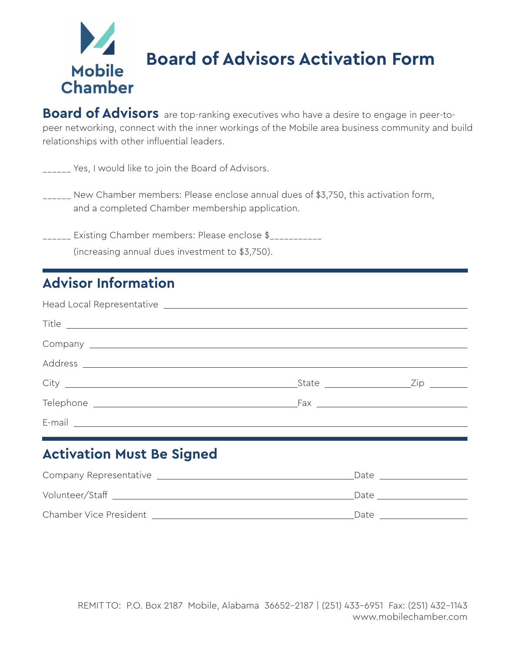# **Board of Advisors Activation Form Mobile Chamber**

**Board of Advisors** are top-ranking executives who have a desire to engage in peer-topeer networking, connect with the inner workings of the Mobile area business community and build relationships with other influential leaders.

\_\_\_\_\_\_ Yes, I would like to join the Board of Advisors.

\_\_\_\_\_\_ New Chamber members: Please enclose annual dues of \$3,750, this activation form, and a completed Chamber membership application.

\_\_\_\_\_\_ Existing Chamber members: Please enclose \$\_\_\_\_\_\_\_\_\_\_\_ (increasing annual dues investment to \$3,750).

# **Advisor Information**

| $\begin{tabular}{c} \textbf{Title} \end{tabular}$ |  |
|---------------------------------------------------|--|
|                                                   |  |
|                                                   |  |
|                                                   |  |
|                                                   |  |
| E-mail _________________________                  |  |

## **Activation Must Be Signed**

| Company Representative | Date |
|------------------------|------|
| Volunteer/Staff        | Date |
| Chamber Vice President | Date |